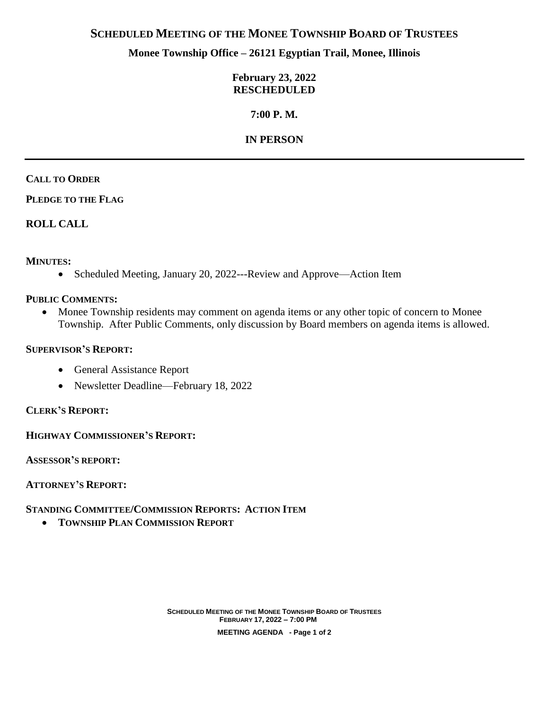# **SCHEDULED MEETING OF THE MONEE TOWNSHIP BOARD OF TRUSTEES**

# **Monee Township Office – 26121 Egyptian Trail, Monee, Illinois**

### **February 23, 2022 RESCHEDULED**

# **7:00 P. M.**

# **IN PERSON**

## **CALL TO ORDER**

**PLEDGE TO THE FLAG**

# **ROLL CALL**

## **MINUTES:**

• Scheduled Meeting, January 20, 2022---Review and Approve—Action Item

### **PUBLIC COMMENTS:**

 Monee Township residents may comment on agenda items or any other topic of concern to Monee Township. After Public Comments, only discussion by Board members on agenda items is allowed.

### **SUPERVISOR'S REPORT:**

- General Assistance Report
- Newsletter Deadline—February 18, 2022

### **CLERK'S REPORT:**

**HIGHWAY COMMISSIONER'S REPORT:**

**ASSESSOR'S REPORT:**

**ATTORNEY'S REPORT:**

## **STANDING COMMITTEE/COMMISSION REPORTS: ACTION ITEM**

**TOWNSHIP PLAN COMMISSION REPORT**

**SCHEDULED MEETING OF THE MONEE TOWNSHIP BOARD OF TRUSTEES FEBRUARY 17, 2022 – 7:00 PM MEETING AGENDA - Page 1 of 2**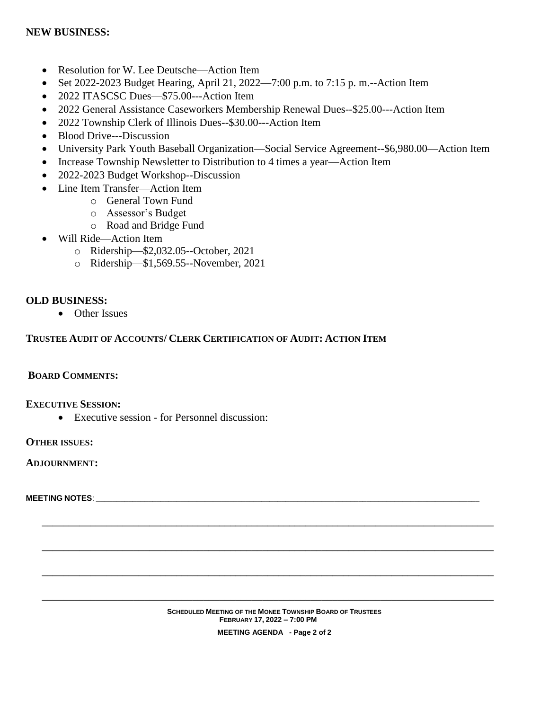## **NEW BUSINESS:**

- Resolution for W. Lee Deutsche—Action Item
- Set 2022-2023 Budget Hearing, April 21, 2022—7:00 p.m. to 7:15 p.m.--Action Item
- 2022 ITASCSC Dues—\$75.00---Action Item
- 2022 General Assistance Caseworkers Membership Renewal Dues--\$25.00---Action Item
- 2022 Township Clerk of Illinois Dues--\$30.00---Action Item
- Blood Drive---Discussion
- University Park Youth Baseball Organization—Social Service Agreement--\$6,980.00—Action Item
- Increase Township Newsletter to Distribution to 4 times a year—Action Item
- 2022-2023 Budget Workshop--Discussion
- Line Item Transfer—Action Item
	- o General Town Fund
	- o Assessor's Budget
	- o Road and Bridge Fund
- Will Ride—Action Item
	- o Ridership—\$2,032.05--October, 2021
	- o Ridership—\$1,569.55--November, 2021

#### **OLD BUSINESS:**

• Other Issues

#### **TRUSTEE AUDIT OF ACCOUNTS/ CLERK CERTIFICATION OF AUDIT: ACTION ITEM**

### **BOARD COMMENTS:**

#### **EXECUTIVE SESSION:**

Executive session - for Personnel discussion:

**OTHER ISSUES:**

#### **ADJOURNMENT:**

**MEETING NOTES**: \_\_\_\_\_\_\_\_\_\_\_\_\_\_\_\_\_\_\_\_\_\_\_\_\_\_\_\_\_\_\_\_\_\_\_\_\_\_\_\_\_\_\_\_\_\_\_\_\_\_\_\_\_\_\_\_\_\_\_\_\_\_\_\_\_\_\_\_\_\_\_\_\_\_\_\_\_\_\_\_\_\_\_\_\_\_\_\_\_\_\_\_\_\_\_

#### **SCHEDULED MEETING OF THE MONEE TOWNSHIP BOARD OF TRUSTEES FEBRUARY 17, 2022 – 7:00 PM MEETING AGENDA - Page 2 of 2**

**\_\_\_\_\_\_\_\_\_\_\_\_\_\_\_\_\_\_\_\_\_\_\_\_\_\_\_\_\_\_\_\_\_\_\_\_\_\_\_\_\_\_\_\_\_\_\_\_\_\_\_\_\_\_\_\_\_\_\_\_\_\_\_\_\_\_\_\_\_\_\_\_\_\_\_\_\_\_\_\_\_\_\_\_**

**\_\_\_\_\_\_\_\_\_\_\_\_\_\_\_\_\_\_\_\_\_\_\_\_\_\_\_\_\_\_\_\_\_\_\_\_\_\_\_\_\_\_\_\_\_\_\_\_\_\_\_\_\_\_\_\_\_\_\_\_\_\_\_\_\_\_\_\_\_\_\_\_\_\_\_\_\_\_\_\_\_\_\_\_**

**\_\_\_\_\_\_\_\_\_\_\_\_\_\_\_\_\_\_\_\_\_\_\_\_\_\_\_\_\_\_\_\_\_\_\_\_\_\_\_\_\_\_\_\_\_\_\_\_\_\_\_\_\_\_\_\_\_\_\_\_\_\_\_\_\_\_\_\_\_\_\_\_\_\_\_\_\_\_\_\_\_\_\_\_**

**\_\_\_\_\_\_\_\_\_\_\_\_\_\_\_\_\_\_\_\_\_\_\_\_\_\_\_\_\_\_\_\_\_\_\_\_\_\_\_\_\_\_\_\_\_\_\_\_\_\_\_\_\_\_\_\_\_\_\_\_\_\_\_\_\_\_\_\_\_\_\_\_\_\_\_\_\_\_\_\_\_\_\_\_**